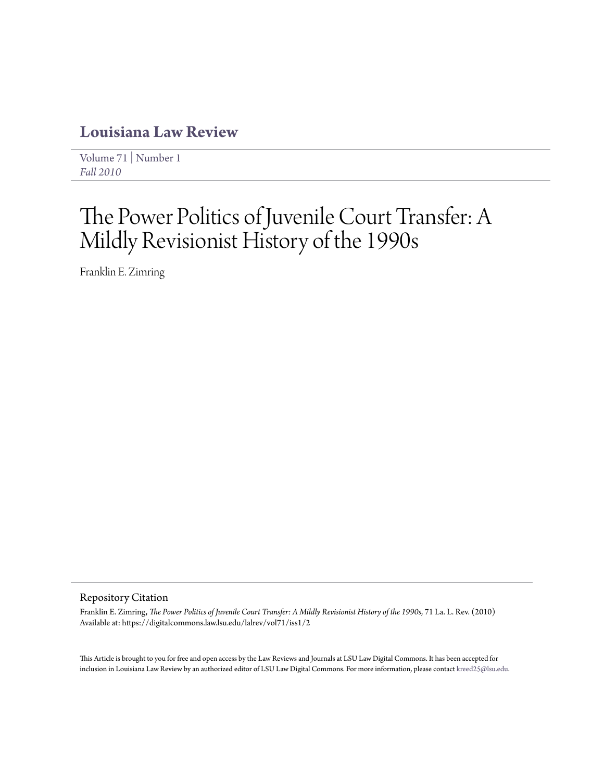# **[Louisiana Law Review](https://digitalcommons.law.lsu.edu/lalrev)**

[Volume 71](https://digitalcommons.law.lsu.edu/lalrev/vol71) | [Number 1](https://digitalcommons.law.lsu.edu/lalrev/vol71/iss1) *[Fall 2010](https://digitalcommons.law.lsu.edu/lalrev/vol71/iss1)*

# The Power Politics of Juvenile Court Transfer: A Mildly Revisionist History of the 1990s

Franklin E. Zimring

## Repository Citation

Franklin E. Zimring, *The Power Politics of Juvenile Court Transfer: A Mildly Revisionist History of the 1990s*, 71 La. L. Rev. (2010) Available at: https://digitalcommons.law.lsu.edu/lalrev/vol71/iss1/2

This Article is brought to you for free and open access by the Law Reviews and Journals at LSU Law Digital Commons. It has been accepted for inclusion in Louisiana Law Review by an authorized editor of LSU Law Digital Commons. For more information, please contact [kreed25@lsu.edu](mailto:kreed25@lsu.edu).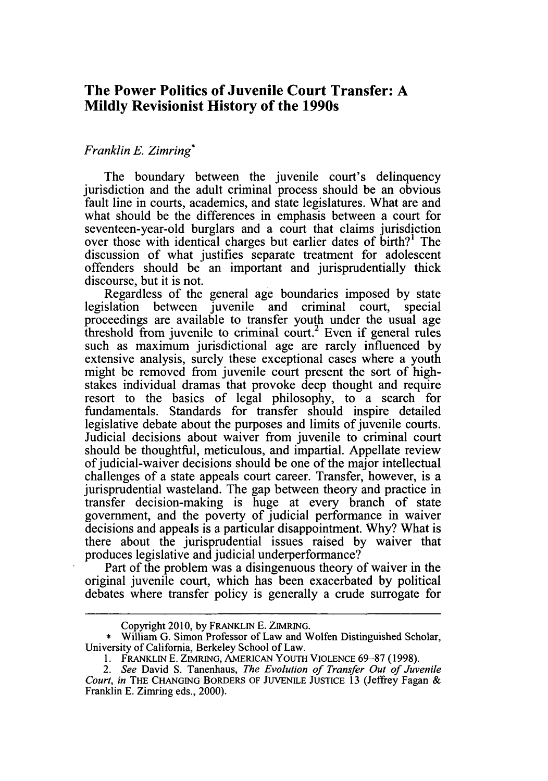# **The Power Politics of Juvenile Court Transfer: A Mildly Revisionist History of the 1990s**

# *Franklin E. Zimring\**

The boundary between the juvenile court's delinquency jurisdiction and the adult criminal process should be an obvious fault line in courts, academics, and state legislatures. What are and what should be the differences in emphasis between a court for seventeen-year-old burglars and a court that claims jurisdiction over those with identical charges but earlier dates of birth?' The discussion of what justifies separate treatment for adolescent offenders should be an important and jurisprudentially thick discourse, but it is not.

Regardless of the general age boundaries imposed **by** state legislation between juvenile and criminal court, special proceedings are available to transfer youth under the usual age threshold from juvenile to criminal court.<sup>2</sup> Even if general rules such as maximum jurisdictional age are rarely influenced **by** extensive analysis, surely these exceptional cases where a youth might be removed from juvenile court present the sort of highstakes individual dramas that provoke deep thought and require resort to the basics of legal philosophy, to a search for fundamentals. Standards for transfer should inspire detailed legislative debate about the purposes and limits of juvenile courts. Judicial decisions about waiver from juvenile to criminal court should be thoughtful, meticulous, and impartial. Appellate review of judicial-waiver decisions should be one of the major intellectual challenges of a state appeals court career. Transfer, however, is a jurisprudential wasteland. The gap between theory and practice in transfer decision-making is huge at every branch of state government, and the poverty of judicial performance in waiver decisions and appeals is a particular disappointment. **Why?** What is there about the jurisprudential issues raised **by** waiver that produces legislative and judicial underperformance?

Part of the problem was a disingenuous theory of waiver in the original juvenile court, which has been exacerbated **by** political debates where transfer policy is generally a crude surrogate for

Copyright **2010, by FRANKLIN E. ZIMRING.**

<sup>\*</sup> William **G.** Simon Professor of Law and Wolfen Distinguished Scholar, University of California, Berkeley School of Law.

**<sup>1.</sup>** FRANKLIN **E. ZIMRING, AMERICAN YOUTH VIOLENCE 69-87 (1998).**

*<sup>2.</sup> See* David **S.** Tanenhaus, *The Evolution of Transfer Out of Juvenile Court, in* **THE CHANGING BORDERS OF JUVENILE JUSTICE 13** (Jeffrey Fagan **&** Franklin **E.** Zimring eds., 2000).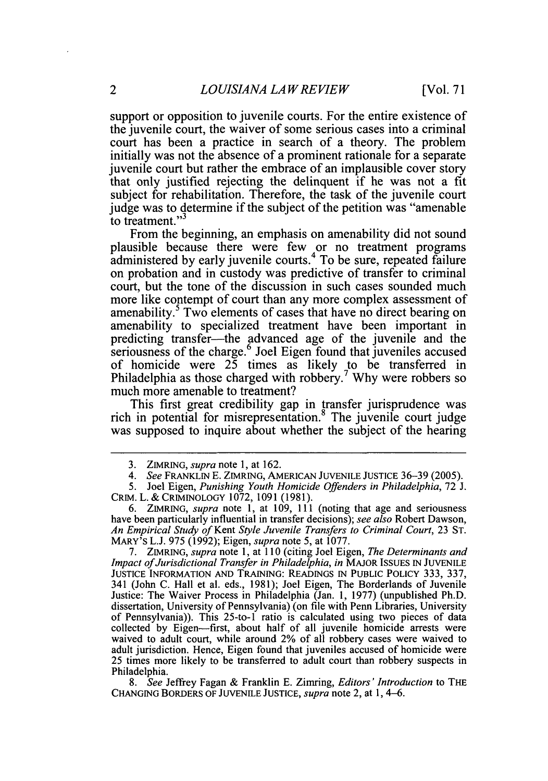support or opposition to juvenile courts. For the entire existence of the juvenile court, the waiver of some serious cases into a criminal court has been a practice in search of a theory. The problem initially was not the absence of a prominent rationale for a separate juvenile court but rather the embrace of an implausible cover story that only justified rejecting the delinquent if he was not a fit subject for rehabilitation. Therefore, the task of the juvenile court judge was to determine if the subject of the petition was "amenable to treatment."<sup>3</sup>

From the beginning, an emphasis on amenability did not sound plausible because there were few or no treatment programs administered **by** early juvenile courts.4 To be sure, repeated failure on probation and in custody was predictive of transfer to criminal court, but the tone of the discussion in such cases sounded much more like contempt of court than any more complex assessment of amenability.<sup>5</sup> Two elements of cases that have no direct bearing on amenability to specialized treatment have been important in predicting transfer-the advanced age of the juvenile and the seriousness of the charge.<sup>6</sup> Joel Eigen found that juveniles accused of homicide were *25* times as likely to be transferred in Philadelphia as those charged with robbery. **Why** were robbers so much more amenable to treatment?

This first great credibility gap in transfer jurisprudence was rich in potential for misrepresentation.<sup>8</sup> The juvenile court judge was supposed to inquire about whether the subject of the hearing

**7. ZIMRING,** *supra note* **1,** at **110** (citing Joel Eigen, *The Determinants and Impact ofJurisdictional Transfer in Philadelphia, in* MAJOR **ISSUES IN JUVENILE JUSTICE** INFORMATION **AND TRAINING: READINGS IN PUBLIC** POLICY **333, 337,** 341 (John **C.** Hall et al. eds., **1981);** Joel Eigen, The Borderlands of Juvenile Justice: The Waiver Process in Philadelphia (Jan. **1, 1977)** (unpublished Ph.D. dissertation, University of Pennsylvania) (on file with Penn Libraries, University of Pennsylvania)). This 25-to-i ratio is calculated using two pieces of data collected **by** Eigen-first, about half of all juvenile homicide arrests were waived to adult court, while around 2% of all robbery cases were waived to adult jurisdiction. Hence, Eigen found that juveniles accused of homicide were **25** times more likely to be transferred to adult court than robbery suspects in Philadelphia.

*8. See* Jeffrey Fagan **&** Franklin **E.** Zimring, *Editors' Introduction* to **THE CHANGING** BORDERS **OF JUVENILE JUSTICE,** *supra* note 2, at **1,** 4-6.

**<sup>3.</sup>** ZIMRING, *supra note* **1,** at **162.**

<sup>4.</sup> See **FRANKLIN E. ZIMRING, AMERICAN JUVENILE JUSTICE 36-39 (2005).**

**<sup>5.</sup>** Joel Eigen, *Punishing Youth Homicide Offenders in Philadelphia,* **72 J.** CRIM. L. **&** CRIMINOLOGY **1072, 1091 (1981).**

**<sup>6.</sup>** ZIMRING, *supra note* **1,** at **109, 111** (noting that age and seriousness have been particularly influential in transfer decisions); *see also* Robert Dawson, *An Empirical Study of Kent Style Juvenile Transfers to Criminal Court,* **23 ST. MARY'S L.J. 975 (1992);** Eigen, *supra note 5,* at **1077.**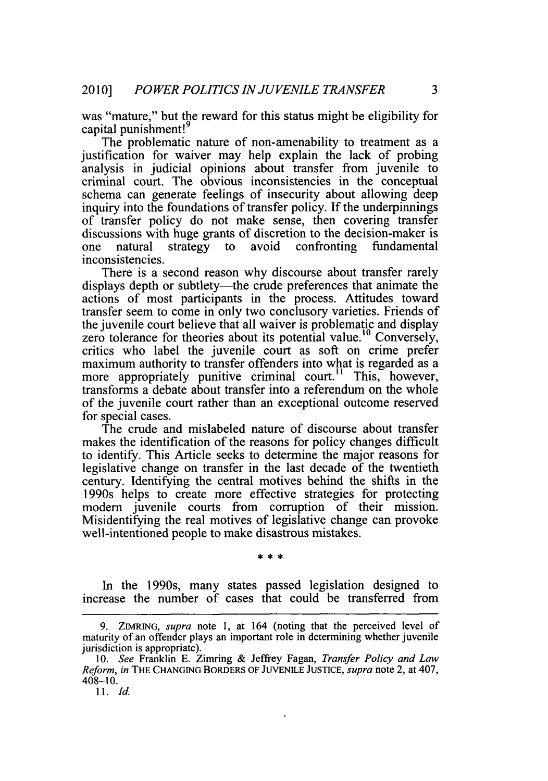was "mature," but the reward for this status might be eligibility for capital punishment!<sup>9</sup>

The problematic nature of non-amenability to treatment as a justification for waiver may help explain the lack of probing analysis in judicial opinions about transfer from juvenile to criminal court. The obvious inconsistencies in the conceptual schema can generate feelings of insecurity about allowing deep inquiry into the foundations of transfer policy. **If** the underpinnings of transfer policy do not make sense, then covering transfer discussions with huge grants of discretion to the decision-maker is<br>one natural strategy to avoid confronting fundamental one natural strategy to inconsistencies.

There is a second reason why discourse about transfer rarely displays depth or subtlety—the crude preferences that animate the actions of most participants in the process. Attitudes toward transfer seem to come in only two conclusory varieties. Friends of the juvenile court believe that all waiver is problematic and display zero tolerance for theories about its potential value.<sup>10</sup> Conversely, critics who label the juvenile court as soft on crime prefer maximum authority to transfer offenders into what is regarded as a more appropriately punitive criminal court.<sup>11</sup> This, however, transforms a debate about transfer into a referendum on the whole of the juvenile court rather than an exceptional outcome reserved for special cases.

The crude and mislabeled nature of discourse about transfer makes the identification of the reasons for policy changes difficult to identify. This Article seeks to determine the major reasons for legislative change on transfer in the last decade of the twentieth century. Identifying the central motives behind the shifts in the 1990s helps to create more effective strategies for protecting modem juvenile courts from corruption of their mission. Misidentifying the real motives of legislative change can provoke well-intentioned people to make disastrous mistakes.

In the 1990s, many states passed legislation designed to increase the number of cases that could be transferred from

**<sup>9.</sup>** ZIMRING, *supra* note **1,** at 164 (noting that the perceived level of maturity of an offender plays an important role in determining whether juvenile jurisdiction is appropriate).

*<sup>10.</sup> See* Franklin **E.** Zimring **&** Jeffrey Fagan, *Transfer Policy and Law Reform, in* **THE CHANGING BORDERS OF JUVENILE JUSTICE,** *supra* note 2, at 407,  $408 - 10$ .

*<sup>11.</sup> Id.*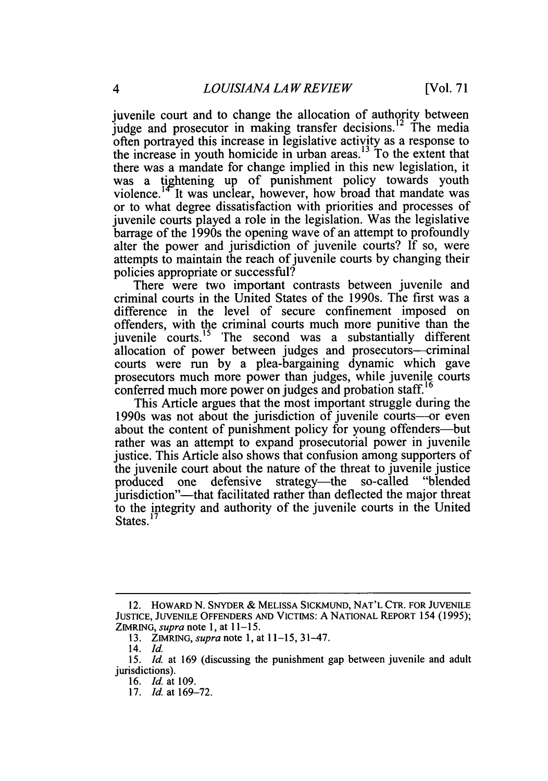juvenile court and to change the allocation of authority between judge and prosecutor in making transfer decisions.<sup>12</sup> The media often portrayed this increase in legislative activity as a response to the increase in youth homicide in urban areas.<sup>13</sup> To the extent that there was a mandate for change implied in this new legislation, it was a tightening up of punishment policy towards youth violence.<sup>14°</sup>It was unclear, however, how broad that mandate was or to what degree dissatisfaction with priorities and processes of juvenile courts played a role in the legislation. Was the legislative barrage of the 1990s the opening wave of an attempt to profoundly alter the power and jurisdiction of juvenile courts? **If** so, were attempts to maintain the reach of juvenile courts **by** changing their policies appropriate or successful?

There were two important contrasts between juvenile and criminal courts in the United States of the 1990s. The first was a difference in the level of secure confinement imposed on offenders, with the criminal courts much more punitive than the juvenile courts.<sup>15</sup> The second was a substantially different allocation of power between judges and prosecutors—criminal courts were run **by** a plea-bargaining dynamic which gave prosecutors much more power than judges, while juvenile courts conferred much more power on judges and probation staff.<sup>16</sup>

This Article argues that the most important struggle during the 1990s was not about the jurisdiction of juvenile courts-or even about the content of punishment policy for young offenders—but rather was an attempt to expand prosecutorial power in juvenile justice. This Article also shows that confusion among supporters of the juvenile court about the nature of the threat to juvenile justice<br>produced one defensive strategy—the so-called "blended" produced one defensive strategy—the jurisdiction"-that facilitated rather than deflected the major threat to the integrity and authority of the juvenile courts in the United States.<sup>1</sup>

<sup>12.</sup> **HOWARD N. SNYDER & MELISSA SICKMUND, NAT'L CTR. FOR JUVENILE JUSTICE, JUVENILE OFFENDERS AND VICTIMS: A NATIONAL REPORT** 154 **(1995); ZIMRING,** *supra* note **1,** at *11-15.*

**<sup>13.</sup>** *ZIMRING, supra note* **1,** at **11-15,** 31-47.

*<sup>14.</sup> Id.*

*<sup>15.</sup> Id.* at **169** (discussing the punishment gap between juvenile and adult jurisdictions).

*<sup>16.</sup> Id.* at **109.**

**<sup>17.</sup>** *Id.* at **169-72.**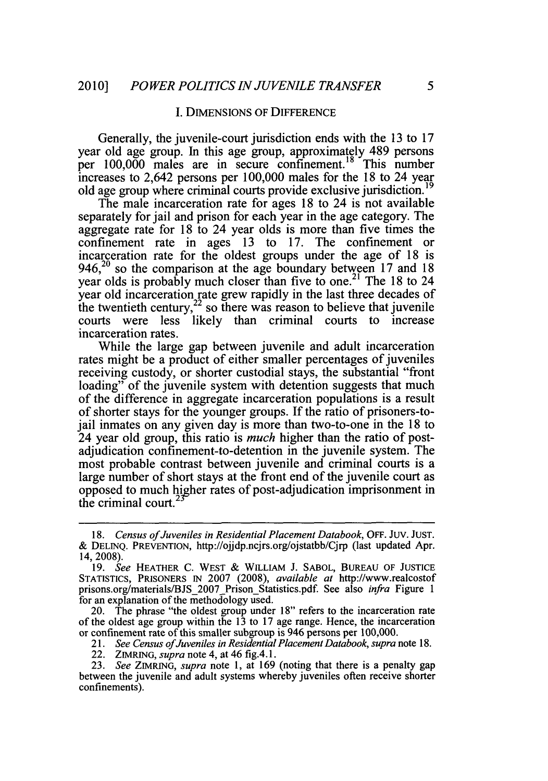#### **I. DIMENSIONS** OF **DIFFERENCE**

Generally, the juvenile-court jurisdiction ends with the **13** to **17** year old age group. In this age group, approximately 489 persons per 100,000 males are in secure confinement.<sup>18</sup> This number increases to 2,642 persons per **100,000** males for the **18** to 24 year old age group where criminal courts provide exclusive jurisdiction.

The male incarceration rate for ages **18** to 24 is not available separately for jail and prison for each year in the age category. The aggregate rate for **18** to 24 year olds is more than five times the confinement rate in ages **13** to **17.** The confinement or incarceration rate for the oldest groups under the age of **18** is 946,20 so the comparison at the age boundary between **17** and **18** year olds is probably much closer than five to one.<sup>21</sup> The 18 to 24 year old incarceration rate grew rapidly in the last three decades of the twentieth century, $2^2$  so there was reason to believe that juvenile courts were less likely than criminal courts to increase incarceration rates.

While the large gap between juvenile and adult incarceration rates might be a product of either smaller percentages of juveniles receiving custody, or shorter custodial stays, the substantial "front loading" of the juvenile system with detention suggests that much of the difference in aggregate incarceration populations is a result of shorter stays for the younger groups. **If** the ratio of prisoners-tojail inmates on any given day is more than two-to-one in the **18** to 24 year old group, this ratio is *much* higher than the ratio of postadjudication confinement-to-detention in the juvenile system. The most probable contrast between juvenile and criminal courts is a large number of short stays at the front end of the juvenile court as opposed to much higher rates of post-adjudication imprisonment in the criminal court.

*<sup>18.</sup> Census ofJuveniles in Residential Placement Databook,* OFF. **JUV. JUST. & DELINQ.** PREVENTION, http://ojjdp.ncjrs.org/ojstatbb/Cjrp (last updated Apr. 14, 2008).

*<sup>19.</sup> See* HEATHER **C.** WEST **&** WILLIAM **J. SABOL, BUREAU** OF **JUSTICE STATISTICS,** PRISONERS IN **2007 (2008),** *available at* http://www.realcostof prisons.org/materials/BJS\_2007\_Prison\_Statistics.pdf. See also *infra* Figure 1 for an explanation of the methodology used.

<sup>20.</sup> The phrase "the oldest group under **18"** refers to the incarceration rate of the oldest age group within the **13** to **17** age range. Hence, the incarceration or confinement rate of this smaller subgroup is 946 persons per **100,000.**

*<sup>21.</sup> See Census ofJuveniles in Residential Placement Databook, supra* note **18.**

<sup>22.</sup> ZIMRING, *supra* note 4, at 46 *fig.4.1.*

*<sup>23.</sup> See ZIMRING, supra note* **1,** at **169** (noting that there is a penalty gap between the juvenile and adult systems whereby juveniles often receive shorter confinements).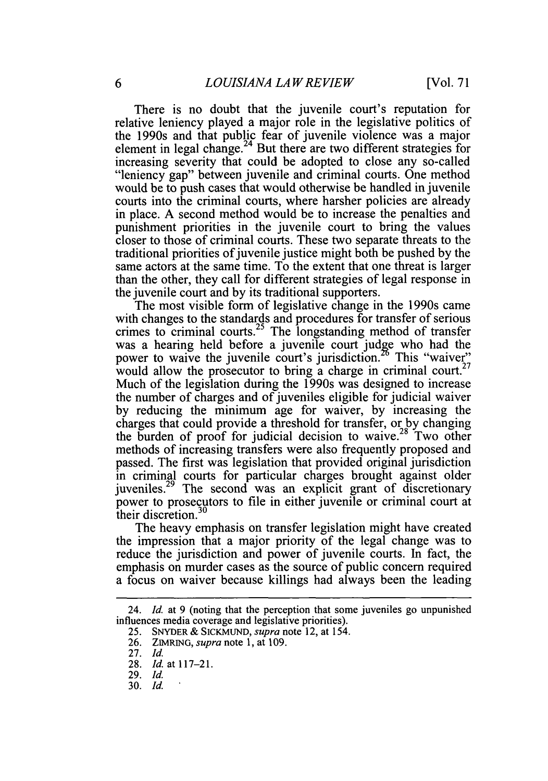There is no doubt that the juvenile court's reputation for relative leniency played a major role in the legislative politics of the 1990s and that public fear of juvenile violence was a major element in legal change.<sup>24</sup> But there are two different strategies for increasing severity that could be adopted to close any so-called "leniency gap" between juvenile and criminal courts. One method would be to push cases that would otherwise be handled in juvenile courts into the criminal courts, where harsher policies are already in place. **A** second method would be to increase the penalties and punishment priorities in the juvenile court to bring the values closer to those of criminal courts. These two separate threats to the traditional priorities of juvenile justice might both be pushed **by** the same actors at the same time. To the extent that one threat is larger than the other, they call for different strategies of legal response in the juvenile court and **by** its traditional supporters.

The most visible form of legislative change in the 1990s came with changes to the standards and procedures for transfer of serious crimes to criminal courts.<sup>25</sup> The longstanding method of transfer was a hearing held before a juvenile court judge who had the power to waive the juvenile court's jurisdiction.<sup>26</sup> This "waiver" would allow the prosecutor to bring a charge in criminal court.<sup>27</sup> Much of the legislation during the 1990s was designed to increase the number of charges and of juveniles eligible for judicial waiver **by** reducing the minimum age for waiver, **by** increasing the charges that could provide a threshold for transfer, or **by** changing the burden of proof for judicial decision to waive.<sup>28</sup> Two other methods of increasing transfers were also frequently proposed and passed. The first was legislation that provided original jurisdiction in criminal courts for particular charges brought against older juveniles.<sup>29</sup> The second was an explicit grant of discretionary power to prosecutors to file in either juvenile or criminal court at their discretion.<sup>30</sup>

The heavy emphasis on transfer legislation might have created the impression that a major priority of the legal change was to reduce the jurisdiction and power of juvenile courts. In fact, the emphasis on murder cases as the source of public concern required a focus on waiver because killings had always been the leading

<sup>24.</sup> *Id. at* **9** (noting that the perception that some juveniles go unpunished influences media coverage and legislative priorities).

**<sup>25.</sup>** SNYDER **&** SICKMUND, *supra* note 12, at 154.

**<sup>26.</sup>** ZIMRING, *supra* note **1,** at **109.**

**<sup>27.</sup>** *Id.*

**<sup>28.</sup>** *Id.* at **117-21.**

**<sup>29.</sup>** *Id.*

**<sup>30.</sup>** *Id.*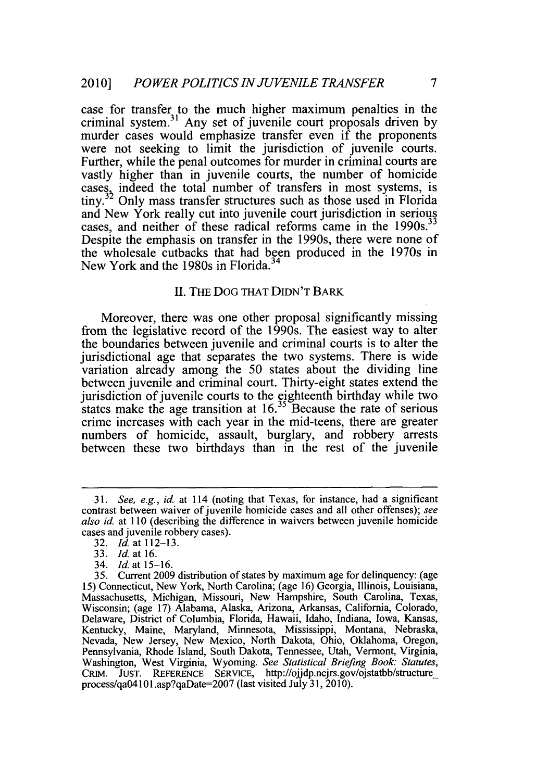case for transfer to the much higher maximum penalties in the criminal system.3 1 Any set of juvenile court proposals driven **by** murder cases would emphasize transfer even if the proponents were not seeking to limit the jurisdiction of juvenile courts. Further, while the penal outcomes for murder in criminal courts are vastly higher than in juvenile courts, the number of homicide cases, indeed the total number of transfers in most systems, is tiny.<sup>32</sup> Only mass transfer structures such as those used in Florida and New York really cut into juvenile court jurisdiction in serious cases, and neither of these radical reforms came in the 1990s.<sup>3</sup> Despite the emphasis on transfer in the 1990s, there were none of the wholesale cutbacks that had been produced in the 1970s in New York and the 1980s in Florida.

## **II. THE DOG THAT DIDN'T BARK**

Moreover, there was one other proposal significantly missing from the legislative record of the 1990s. The easiest way to alter the boundaries between juvenile and criminal courts is to alter the jurisdictional age that separates the two systems. There is wide variation already among the *50* states about the dividing line between juvenile and criminal court. Thirty-eight states extend the jurisdiction of juvenile courts to the eighteenth birthday while two states make the age transition at **16.3** Because the rate of serious crime increases with each year in the mid-teens, there are greater numbers of homicide, assault, burglary, and robbery arrests between these two birthdays than in the rest of the juvenile

*<sup>31.</sup> See, e.g., id. at* **114** (noting that Texas, for instance, had a significant contrast between waiver of juvenile homicide cases and all other offenses); *see also id.* at **110** (describing the difference in waivers between juvenile homicide cases and juvenile robbery cases).

**<sup>32.</sup>** *Id.* at **112-13.**

**<sup>33.</sup>** *Id.* at **16.**

<sup>34.</sup> *Id.* at *15-16.*

**<sup>35.</sup>** Current **2009** distribution of states **by** maximum age for delinquency: (age **15)** Connecticut, New York, North Carolina; (age **16)** Georgia, Illinois, Louisiana, Massachusetts, Michigan, Missouri, New Hampshire, South Carolina, Texas, Wisconsin; (age **17)** Alabama, Alaska, Arizona, Arkansas, California, Colorado, Delaware, District of Columbia, Florida, Hawaii, Idaho, Indiana, Iowa, Kansas, Kentucky, Maine, Maryland, Minnesota, Mississippi, Montana, Nebraska, Nevada, New Jersey, New Mexico, North Dakota, Ohio, Oklahoma, Oregon, Pennsylvania, Rhode Island, South Dakota, Tennessee, Utah, Vermont, Virginia, Washington, West Virginia, Wyoming. *See Statistical Briefing Book: Statutes,* CRIM. **JUST.** REFERENCE SERVICE, http://ojjdp.ncjrs.gov/ojstatbb/structure\_ process/qa04 **101** .asp?qaDate=2007 (last visited July **31, 2010).**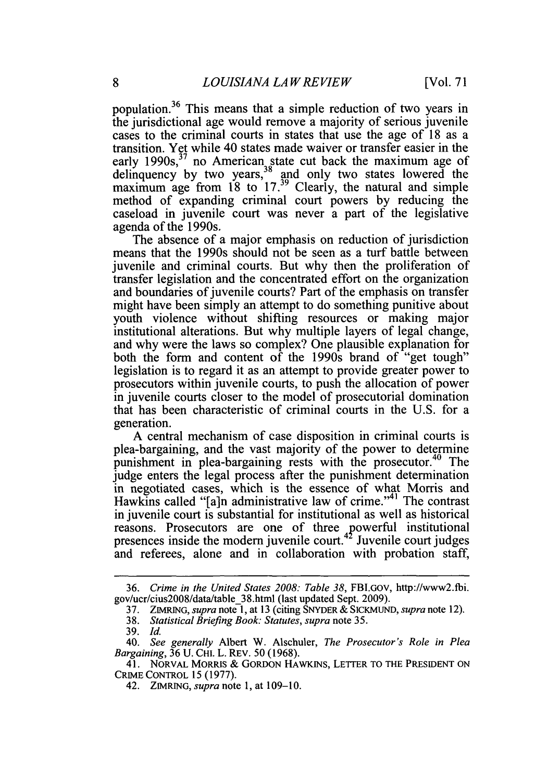population.<sup>36</sup> This means that a simple reduction of two years in the jurisdictional age would remove a majority of serious juvenile cases to the criminal courts in states that use the age of **18** as a transition. Yet while 40 states made waiver or transfer easier in the early 1990s,<sup>37</sup> no American state cut back the maximum age of delinquency by two years,<sup>38</sup> and only two states lowered the maximum age from **18** to **17.** Clearly, the natural and simple method of expanding criminal court powers **by** reducing the caseload in juvenile court was never a part of the legislative agenda of the 1990s.

The absence of a major emphasis on reduction of jurisdiction means that the 1990s should not be seen as a turf battle between juvenile and criminal courts. But why then the proliferation of transfer legislation and the concentrated effort on the organization and boundaries of juvenile courts? Part of the emphasis on transfer might have been simply an attempt to do something punitive about youth violence without shifting resources or making major institutional alterations. But why multiple layers of legal change, and why were the laws so complex? One plausible explanation for both the form and content of the 1990s brand of "get tough" legislation is to regard it as an attempt to provide greater power to prosecutors within juvenile courts, to push the allocation of power in juvenile courts closer to the model of prosecutorial domination that has been characteristic of criminal courts in the **U.S.** for a generation.

**A** central mechanism of case disposition in criminal courts is plea-bargaining, and the vast majority of the power to determine punishment in plea-bargaining rests with the prosecutor.<sup>40</sup> The judge enters the legal process after the punishment determination in negotiated cases, which is the essence of what Morris and Hawkins called "[a]n administrative law of crime."<sup>41</sup> The contrast in juvenile court is substantial for institutional as well as historical reasons. Prosecutors are one of three powerful institutional presences inside the modern juvenile court.<sup>42</sup> Juvenile court judges and referees, alone and in collaboration with probation staff,

*<sup>36.</sup> Crime in the United States 2008: Table 38,* FBI.Gov, http://www2.fbi. gov/ucr/cius2008/data/table\_38.html (last updated Sept. **2009).**

**<sup>37.</sup>** ZIMRING, *supra note* **1,** at **13** (citing SNYDER **& SICKMUND,** *supra* note 12).

*<sup>38.</sup> Statistical Briefing Book: Statutes, supra* note *35.*

**<sup>39.</sup>** *Id.*

*<sup>40.</sup> See generally* Albert W. Alschuler, *The Prosecutor's Role in Plea Bargaining,* **36 U. CHI.** L. REv. **50 (1968).**

<sup>41.</sup> NoRVAL MORRIS **&** GORDON HAWKINS, LETTER TO THE **PRESIDENT ON** CRIME CONTROL *15 (1977).*

<sup>42.</sup> ZIMRING, *supra* note **1,** at **109-10.**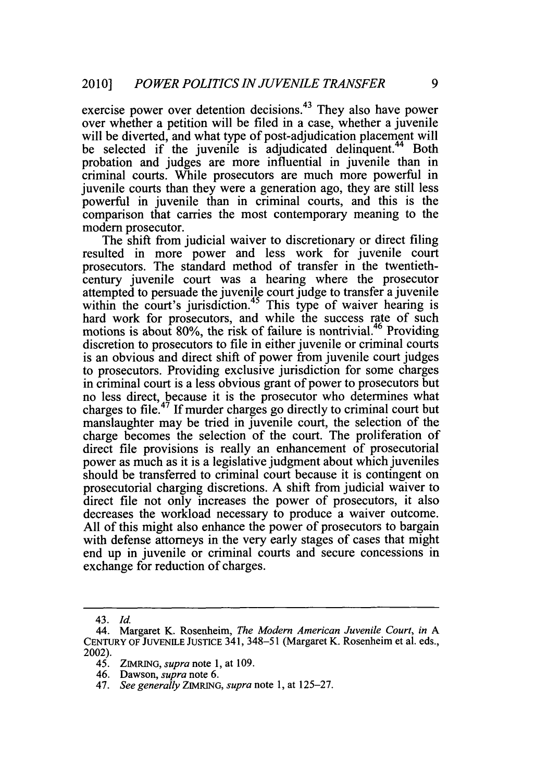exercise power over detention decisions.<sup>43</sup> They also have power over whether a petition will be filed in a case, whether a juvenile will be diverted, and what type of post-adjudication placement will be selected if the juvenile is adjudicated delinquent.<sup>44</sup> Both probation and judges are more influential in juvenile than in criminal courts. While prosecutors are much more powerful in juvenile courts than they were a generation ago, they are still less powerful in juvenile than in criminal courts, and this is the comparison that carries the most contemporary meaning to the modem prosecutor.

The shift from judicial waiver to discretionary or direct filing resulted in more power and less work for juvenile court prosecutors. The standard method of transfer in the twentiethcentury juvenile court was a hearing where the prosecutor attempted to persuade the juvenile court judge to transfer a juvenile within the court's jurisdiction.<sup>45</sup> This type of waiver hearing is hard work for prosecutors, and while the success rate of such motions is about 80%, the risk of failure is nontrivial.<sup>46</sup> Providing discretion to prosecutors to file in either juvenile or criminal courts is an obvious and direct shift of power from juvenile court judges to prosecutors. Providing exclusive jurisdiction for some charges in criminal court is a less obvious grant of power to prosecutors but no less direct, because it is the prosecutor who determines what charges to file.47 **If** murder charges go directly to criminal court but manslaughter may be tried in juvenile court, the selection of the charge becomes the selection of the court. The proliferation of direct file provisions is really an enhancement of prosecutorial power as much as it is a legislative judgment about which juveniles should be transferred to criminal court because it is contingent on prosecutorial charging discretions. **A** shift from judicial waiver to direct file not only increases the power of prosecutors, it also decreases the workload necessary to produce a waiver outcome. **All** of this might also enhance the power of prosecutors to bargain with defense attorneys in the very early stages of cases that might end up in juvenile or criminal courts and secure concessions in exchange for reduction of charges.

*<sup>43.</sup> Id.*

<sup>44.</sup> Margaret K. Rosenheim, *The Modern American Juvenile Court, in A* **CENTURY OF JUVENLE JUSTICE** 341, **348-51** (Margaret K. Rosenheim et al. eds., 2002).

<sup>45.</sup> **ZIMRING,** *supra note* **1,** at **109.**

<sup>46.</sup> Dawson, *supra* note **6.**

*<sup>47.</sup> See generally ZIMRING, supra note* **1,** at **125-27.**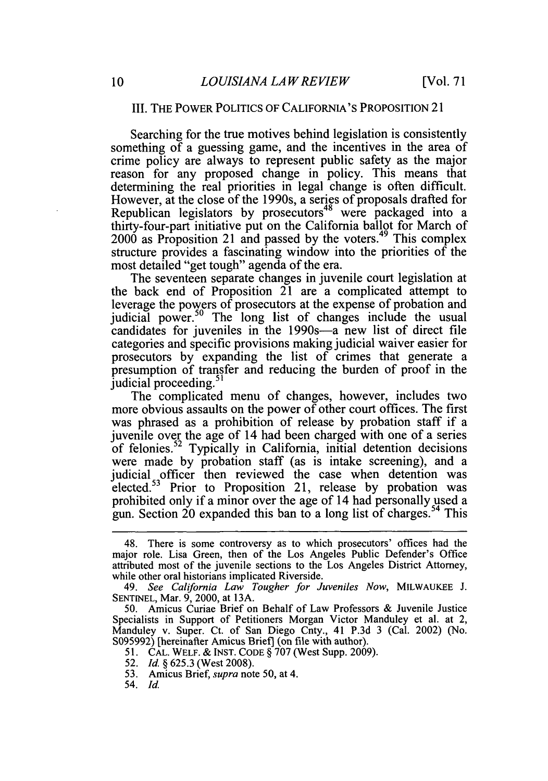# III. THE POWER POLITICS OF **CALIFORNIA'S** PROPOSITION 21

Searching for the true motives behind legislation is consistently something of a guessing game, and the incentives in the area of crime policy are always to represent public safety as the major reason for any proposed change in policy. This means that determining the real priorities in legal change is often difficult. However, at the close of the 1990s, a series of proposals drafted for Republican legislators by prosecutors<sup>48</sup> were packaged into a thirty-four-part initiative put on the California ballot for March of 2000 as Proposition 21 and passed **by** the voters.49 This complex structure provides a fascinating window into the priorities of the most detailed "get tough" agenda of the era.

The seventeen separate changes in juvenile court legislation at the back end of Proposition 21 are a complicated attempt to leverage the powers of prosecutors at the expense of probation and judicial power.<sup>50</sup> The long list of changes include the usual candidates for juveniles in the 1990s-a new list of direct file categories and specific provisions making judicial waiver easier for prosecutors **by** expanding the list of crimes that generate a presumption of transfer and reducing the burden of proof in the judicial proceeding.<sup>51</sup>

The complicated menu of changes, however, includes two more obvious assaults on the power of other court offices. The first was phrased as a prohibition of release **by** probation staff if a juvenile over the age of 14 had been charged with one of a series of felonies.<sup>52</sup> Typically in California, initial detention decisions were made by probation staff (as is intake screening), and a judicial officer then reviewed the case when detention was elected.53 Prior to Proposition 21, release **by** probation was prohibited only if a minor over the age of 14 had personally used a gun. Section 20 expanded this ban to a long list of charges.<sup>54</sup> This

**54.** *Id.*

<sup>48.</sup> There is some controversy as to which prosecutors' offices had the major role. Lisa Green, then of the Los Angeles Public Defender's Office attributed most of the juvenile sections to the Los Angeles District Attorney, while other oral historians implicated Riverside.

*<sup>49.</sup> See California Law Tougher for Juveniles Now,* MILWAUKEE **J. SENTINEL,** Mar. **9,** 2000, at **13A.**

**<sup>50.</sup>** Amicus Curiae Brief on Behalf of Law Professors **&** Juvenile Justice Specialists in Support of Petitioners Morgan Victor Manduley et al. at 2, Manduley v. Super. Ct. of San Diego Cnty., 41 **P.3d 3** (Cal. 2002) (No. **S095992)** [hereinafter Amicus Briefj (on file with author).

**<sup>51.</sup> CAL.** WELF. **& INST. CODE § 707** (West Supp. **2009).**

**<sup>52.</sup>** *Id.* **§ 625.3** (West **2008).**

**<sup>53.</sup>** Amicus Brief, *supra* note **50,** at 4.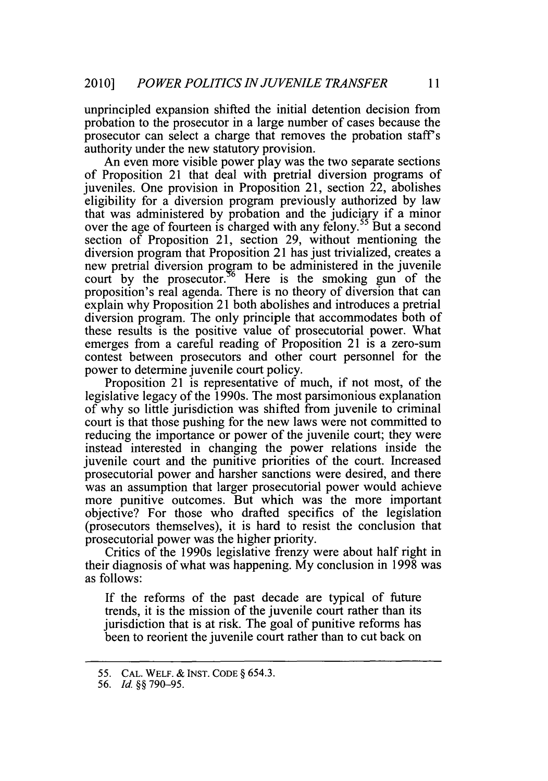unprincipled expansion shifted the initial detention decision from probation to the prosecutor in a large number of cases because the prosecutor can select a charge that removes the probation staff's authority under the new statutory provision.

An even more visible power play was the two separate sections of Proposition 21 that deal with pretrial diversion programs of juveniles. One provision in Proposition 21, section 22, abolishes eligibility for a diversion program previously authorized **by** law that was administered **by** probation and the judiciary if a minor over the age of fourteen is charged with any felony.<sup>55</sup> But a second section of Proposition 21, section **29,** without mentioning the diversion program that Proposition 21 has just trivialized, creates a new pretrial diversion program to be administered in the juvenile court by the prosecutor.<sup>56</sup> Here is the smoking gun of the proposition's real agenda. There is no theory of diversion that can explain why Proposition 21 both abolishes and introduces a pretrial diversion program. The only principle that accommodates both of these results is the positive value of prosecutorial power. What emerges from a careful reading of Proposition 21 is a zero-sum contest between prosecutors and other court personnel for the power to determine juvenile court policy.

Proposition 21 is representative of much, if not most, of the legislative legacy of the 1990s. The most parsimonious explanation of why so little jurisdiction was shifted from juvenile to criminal court is that those pushing for the new laws were not committed to reducing the importance or power of the juvenile court; they were instead interested in changing the power relations inside the juvenile court and the punitive priorities of the court. Increased prosecutorial power and harsher sanctions were desired, and there was an assumption that larger prosecutorial power would achieve more punitive outcomes. But which was the more important objective? For those who drafted specifics of the legislation (prosecutors themselves), it is hard to resist the conclusion that prosecutorial power was the higher priority.

Critics of the 1990s legislative frenzy were about half right in their diagnosis of what was happening. **My** conclusion in **1998** was as follows:

**If** the reforms of the past decade are typical of future trends, it is the mission of the juvenile court rather than its jurisdiction that is at risk. The goal of punitive reforms has been to reorient the juvenile court rather than to cut back on

*<sup>55.</sup>* **CAL.** WELF. *&* **INST. CODE §** *654.3.*

*<sup>56.</sup> Id.* **§§ 790-95.**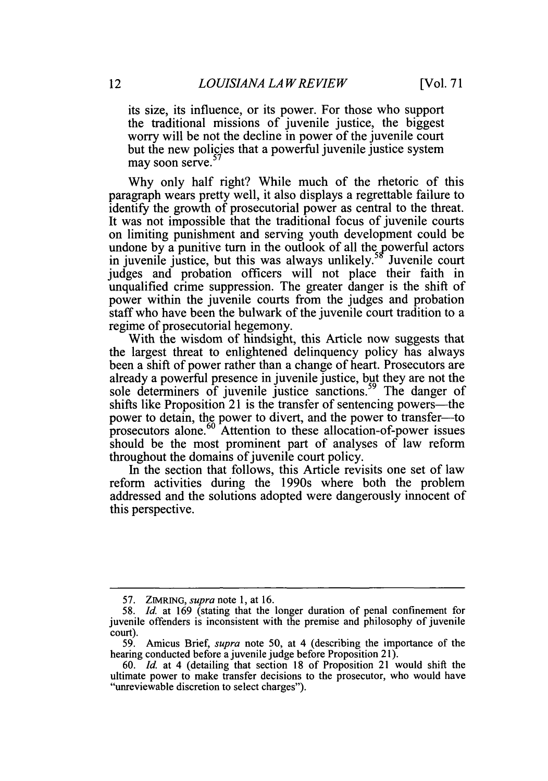its size, its influence, or its power. For those who support the traditional missions of juvenile justice, the biggest worry will be not the decline in power of the juvenile court but the new policies that a powerful juvenile justice system may soon serve.<sup>5</sup>

**Why** only half right? While much of the rhetoric of this paragraph wears pretty well, it also displays a regrettable failure to identify the growth of prosecutorial power as central to the threat. It was not impossible that the traditional focus of juvenile courts on limiting punishment and serving youth development could be undone by a punitive turn in the outlook of all the powerful actors in invenile justice, but this was always unlikely.<sup>58</sup> Juvenile court in juvenile justice, but this was always unlikely.<sup>3</sup> judges and probation officers will not place their faith in unqualified crime suppression. The greater danger is the shift of power within the juvenile courts from the judges and probation staff who have been the bulwark of the juvenile court tradition to a regime of prosecutorial hegemony.

With the wisdom of hindsight, this Article now suggests that the largest threat to enlightened delinquency policy has always been a shift of power rather than a change of heart. Prosecutors are already a powerful presence in juvenile justice, but they are not the sole determiners of juvenile justice sanctions. 59 The danger of shifts like Proposition 21 is the transfer of sentencing powers—the power to detain, the power to divert, and the power to transfer--to prosecutors alone.60 Attention to these allocation-of-power issues should be the most prominent part of analyses of law reform throughout the domains of juvenile court policy.

In the section that follows, this Article revisits one set of law reform activities during the 1990s where both the problem addressed and the solutions adopted were dangerously innocent of this perspective.

**<sup>57.</sup> ZIMRING,** *supra note* **1,** at **16.**

**<sup>58.</sup>** *Id.* at **169** (stating that the longer duration of penal confinement for juvenile offenders is inconsistent with the premise and philosophy of juvenile  $\frac{\text{court}}{59}$ .

**<sup>59.</sup>** Amicus Brief, *supra* note **50,** at 4 (describing the importance of the hearing conducted before a juvenile judge before Proposition **21).**

*<sup>60.</sup> Id.* at 4 (detailing that section **18** of Proposition 21 would shift the ultimate power to make transfer decisions to the prosecutor, who would have "unreviewable discretion to select charges").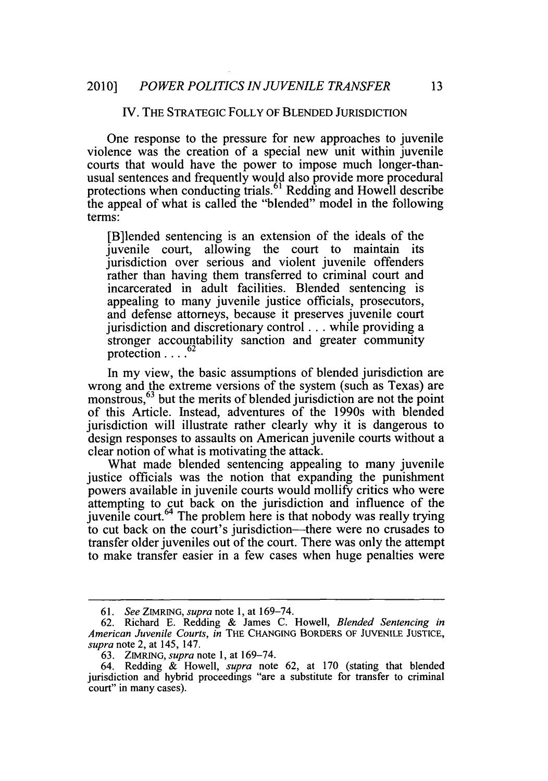#### **IV.** THE STRATEGIC FOLLY OF **BLENDED** JURISDICTION

One response to the pressure for new approaches to juvenile violence was the creation of a special new unit within juvenile courts that would have the power to impose much longer-thanusual sentences and frequently would also provide more procedural protections when conducting trials.<sup> $61$ </sup> Redding and Howell describe the appeal of what is called the "blended" model in the following terms:

[B]lended sentencing is an extension of the ideals of the juvenile court, allowing the court to maintain its jurisdiction over serious and violent juvenile offenders rather than having them transferred to criminal court and incarcerated in adult facilities. Blended sentencing is appealing to many juvenile justice officials, prosecutors, and defense attorneys, because it preserves juvenile court jurisdiction and discretionary control .. **.** while providing a stronger accountability sanction and greater community protection **..** . **2.** 

In my view, the basic assumptions of blended jurisdiction are wrong and the extreme versions of the system (such as Texas) are monstrous,<sup>63</sup> but the merits of blended jurisdiction are not the point of this Article. Instead, adventures of the 1990s with blended jurisdiction will illustrate rather clearly why it is dangerous to design responses to assaults on American juvenile courts without a clear notion of what is motivating the attack.

What made blended sentencing appealing to many juvenile justice officials was the notion that expanding the punishment powers available in juvenile courts would mollify critics who were attempting to cut back on the jurisdiction and influence of the juvenile court. $^{64}$  The problem here is that nobody was really trying to cut back on the court's jurisdiction-there were no crusades to transfer older juveniles out of the court. There was only the attempt to make transfer easier in a few cases when huge penalties were

*<sup>61.</sup>* See *ZIMRING, supra* note **1,** at **169-74.**

**<sup>62.</sup>** Richard **E.** Redding **&** James **C.** Howell, Blended Sentencing in American *Juvenile Courts, in* THE **CHANGING** BORDERS OF **JUVENILE JUSTICE,** *supra* note 2, at 145, 147.

**<sup>63.</sup>** ZIMRING, *supra note* **1,** at **169-74.**

<sup>64.</sup> Redding **&** Howell, *supra* note **62,** at **170** (stating that blended jurisdiction and hybrid proceedings "are a substitute for transfer to criminal court" in many cases).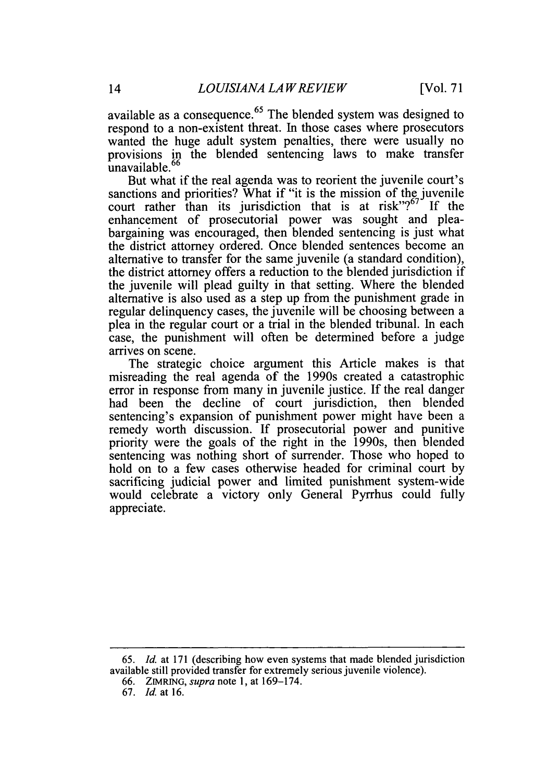available as a consequence.<sup>65</sup> The blended system was designed to respond to a non-existent threat. In those cases where prosecutors wanted the huge adult system penalties, there were usually no provisions in the blended sentencing laws to make transfer unavailable. $<sup>6</sup>$ </sup>

But what if the real agenda was to reorient the juvenile court's sanctions and priorities? What if "it is the mission of the juvenile court rather than its jurisdiction that is at risk"?<sup>67</sup> If the enhancement of prosecutorial power was sought and pleabargaining was encouraged, then blended sentencing is just what the district attorney ordered. Once blended sentences become an alternative to transfer for the same juvenile (a standard condition), the district attorney offers a reduction to the blended jurisdiction if the juvenile will plead guilty in that setting. Where the blended alternative is also used as a step up from the punishment grade in regular delinquency cases, the juvenile will be choosing between a plea in the regular court or a trial in the blended tribunal. In each case, the punishment will often be determined before a judge arrives on scene.

The strategic choice argument this Article makes is that misreading the real agenda of the 1990s created a catastrophic error in response from many in juvenile justice. **If** the real danger had been the decline of court jurisdiction, then blended sentencing's expansion of punishment power might have been a remedy worth discussion. **If** prosecutorial power and punitive priority were the goals of the right in the 1990s, then blended sentencing was nothing short of surrender. Those who hoped to hold on to a few cases otherwise headed for criminal court **by** sacrificing judicial power and limited punishment system-wide would celebrate a victory only General Pyrrhus could fully appreciate.

*<sup>65.</sup> Id.* at **171** (describing how even systems that made blended jurisdiction available still provided transfer for extremely serious juvenile violence).

**<sup>66.</sup> ZIMRING,** *supra note* **1,** at **169-174.**

**<sup>67.</sup>** *Id.* at **16.**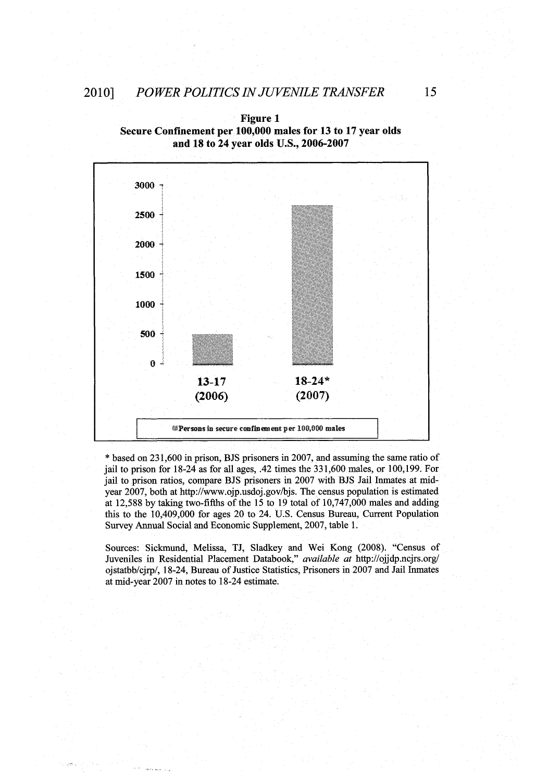**Figure 1 Secure Confinement per 100,000 males for 13 to 17 year olds**



\* based on **231,600** in prison, **BJS** prisoners in **2007,** and assuming the same ratio of jail to prison for 18-24 as for all ages, .42 times the **331,600** males, or **100,199.** For jail to prison ratios, compare **BJS** prisoners in **2007** with **BJS** Jail Inmates at midyear **2007,** both at http://www.ojp.usdoj.gov/bjs. The census population is estimated at **12,588 by** taking two-fifths of the **15** to **19** total of **10,747,000** males and adding this to the 10,409,000 for ages 20 to 24. **U.S.** Census Bureau, Current Population Survey Annual Social and Economic Supplement, **2007,** table **1.**

Sources: Sicknund, Melissa, **TJ,** Sladkey and Wei Kong **(2008).** "Census of Juveniles in Residential Placement Databook," *available at* http://ojjdp.ncjrs.org/ ojstatbb/cjrp/, 18-24, Bureau of Justice Statistics, Prisoners in **2007** and Jail Inmates at mid-year **2007** in notes to 18-24 estimate.

**15**